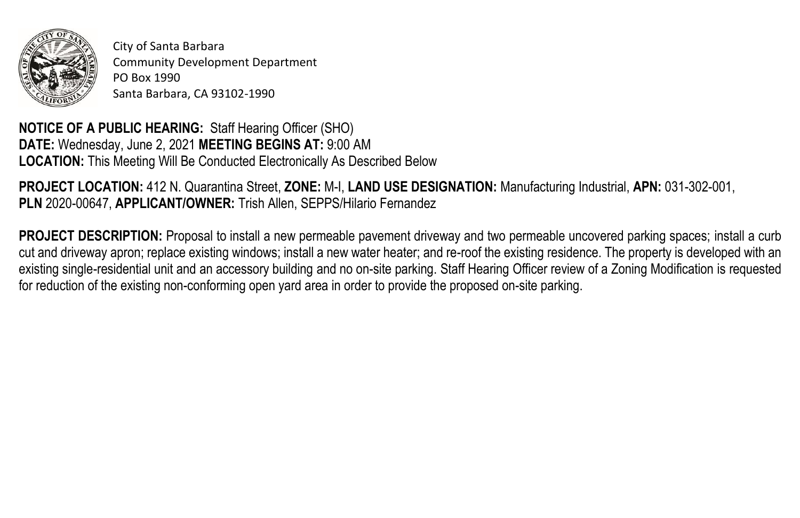

City of Santa Barbara Community Development Department PO Box 1990 Santa Barbara, CA 93102-1990

**NOTICE OF A PUBLIC HEARING:** Staff Hearing Officer (SHO) **DATE:** Wednesday, June 2, 2021 **MEETING BEGINS AT:** 9:00 AM **LOCATION:** This Meeting Will Be Conducted Electronically As Described Below

**PROJECT LOCATION:** 412 N. Quarantina Street, **ZONE:** M-I, **LAND USE DESIGNATION:** Manufacturing Industrial, **APN:** 031-302-001, **PLN** 2020-00647, **APPLICANT/OWNER:** Trish Allen, SEPPS/Hilario Fernandez

**PROJECT DESCRIPTION:** Proposal to install a new permeable pavement driveway and two permeable uncovered parking spaces; install a curb cut and driveway apron; replace existing windows; install a new water heater; and re-roof the existing residence. The property is developed with an existing single-residential unit and an accessory building and no on-site parking. Staff Hearing Officer review of a Zoning Modification is requested for reduction of the existing non-conforming open yard area in order to provide the proposed on-site parking.